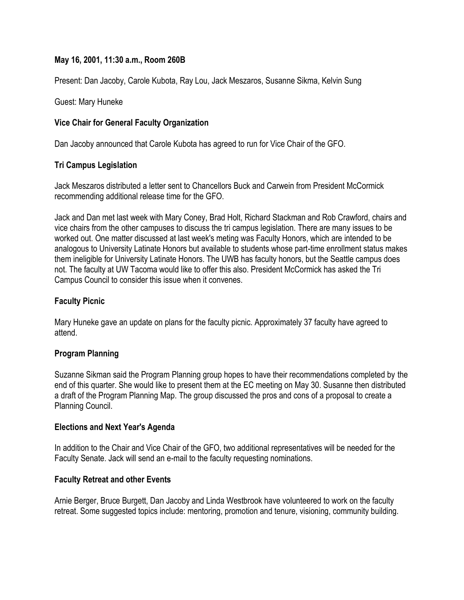## **May 16, 2001, 11:30 a.m., Room 260B**

Present: Dan Jacoby, Carole Kubota, Ray Lou, Jack Meszaros, Susanne Sikma, Kelvin Sung

Guest: Mary Huneke

# **Vice Chair for General Faculty Organization**

Dan Jacoby announced that Carole Kubota has agreed to run for Vice Chair of the GFO.

## **Tri Campus Legislation**

Jack Meszaros distributed a letter sent to Chancellors Buck and Carwein from President McCormick recommending additional release time for the GFO.

Jack and Dan met last week with Mary Coney, Brad Holt, Richard Stackman and Rob Crawford, chairs and vice chairs from the other campuses to discuss the tri campus legislation. There are many issues to be worked out. One matter discussed at last week's meting was Faculty Honors, which are intended to be analogous to University Latinate Honors but available to students whose part-time enrollment status makes them ineligible for University Latinate Honors. The UWB has faculty honors, but the Seattle campus does not. The faculty at UW Tacoma would like to offer this also. President McCormick has asked the Tri Campus Council to consider this issue when it convenes.

#### **Faculty Picnic**

Mary Huneke gave an update on plans for the faculty picnic. Approximately 37 faculty have agreed to attend.

## **Program Planning**

Suzanne Sikman said the Program Planning group hopes to have their recommendations completed by the end of this quarter. She would like to present them at the EC meeting on May 30. Susanne then distributed a draft of the Program Planning Map. The group discussed the pros and cons of a proposal to create a Planning Council.

#### **Elections and Next Year's Agenda**

In addition to the Chair and Vice Chair of the GFO, two additional representatives will be needed for the Faculty Senate. Jack will send an e-mail to the faculty requesting nominations.

#### **Faculty Retreat and other Events**

Arnie Berger, Bruce Burgett, Dan Jacoby and Linda Westbrook have volunteered to work on the faculty retreat. Some suggested topics include: mentoring, promotion and tenure, visioning, community building.